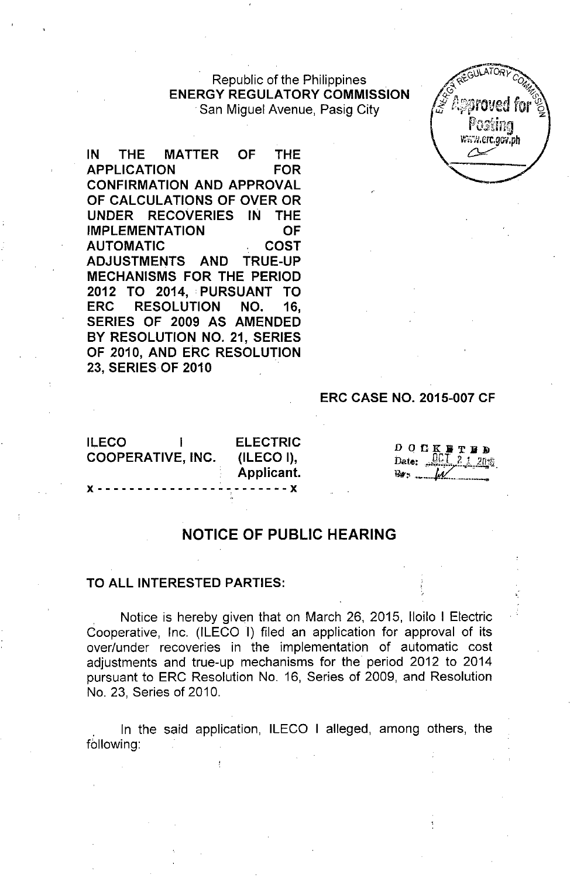Republic of the Philippines **ENERGY REGULATORY COMMISSION** .San Miguel Avenue, Pasig City



**IN THE MATTER OF THE APPLICATION FOR CONFIRMATION AND APPROVAL OF CALCULATIONS OF OVER OR UNDER RECOVERIES IN THE IMPLEMENTATION OF AUTOMATIC COST ADJUSTMENTS AND TRUE-UP MECHANISMS FOR THE PERIOD 2012 TO 2014, PURSUANT TO ERC RESOLUTION NO. 16, SERIES OF 2009 AS AMENDED BY RESOLUTION NO. 21, SERIES OF 2010, AND ERC RESOLUTION 23,** SERIES OF **2010**

## **ERC CASE NO. 2015-007 CF**

**ILECO I COOPERATIVE, INC.** }{ - - - - - - - - - - - - - - - - -. - - - - - ..}{

**ELECTRIC (ILECO I), Applicant.**

| D. | 0 E K F T B                                                                                                                                                       |  |
|----|-------------------------------------------------------------------------------------------------------------------------------------------------------------------|--|
|    | Date: $\frac{\widehat{C} \widehat{C} \cdot \widehat{L}}{\widehat{C} \cdot \widehat{L}} \cdot \frac{\widehat{C} \cdot \widehat{L}}{\widehat{C} \cdot \widehat{L}}$ |  |
|    | $w = w$                                                                                                                                                           |  |

## **NOTICE OF PUBLIC HEARING**

## **TO ALL INTERESTED PARTIES:**

Notice is hereby given that on March 26, 2015, Iloilo I Electric Cooperative, Inc. (ILECO I) filed an application for approval of its over/under recoveries in the implementation of automatic cost adjustments and true-up mechanisms for the period 2012 to 2014 pursuant to ERC Resolution No. 16, Series of 2009, and Resolution No. 23, Series of 2010.

. In the said application, ILECO I alleged, among others, the following: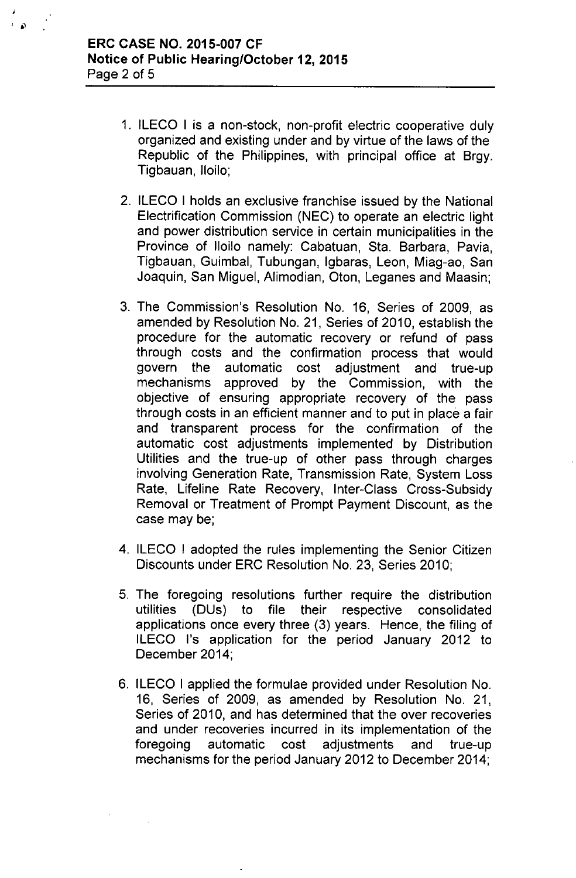- 1. ILECO I is a non-stock, non-profit electric cooperative duly organized and existing under and by virtue of the laws of the Republic of the Philippines, with principal office at Brgy. Tigbauan, Iloilo;
- 2. ILECO I holds an exclusive franchise issued by the National Electrification Commission (NEC) to operate an electric light and power distribution service in certain municipalities in the Province of Iloilo namely: Cabatuan, Sta. Barbara, Pavia, Tigbauan, Guimbal, Tubungan, Igbaras, Leon, Miag-ao, San Joaquin, San Miguel, Alimodian, Oton, Leganes and Maasin;
- 3. The Commission's Resolution No. 16, Series of 2009, as amended by Resolution No. 21, Series of 2010, establish the procedure for the automatic recovery or refund of pass through costs and the confirmation process that would govern the automatic cost adjustment and true-up mechanisms approved by the Commission, with the objective of ensuring appropriate recovery of the pass through costs in an efficient manner and to put in place a fair and transparent process for the confirmation of the automatic cost adjustments implemented by Distribution Utilities and the true-up of other pass through charges involving Generation Rate, Transmission Rate, System Loss Rate, Lifeline Rate Recovery, Inter-Class Cross-Subsidy Removal or Treatment of Prompt Payment Discount, as the case may be;
- 4. ILECO I adopted the rules implementing the Senior Citizen Discounts under ERC Resolution No. 23, Series 2010;
- 5. The foregoing resolutions further require the distribution utilities (DUs) to file their respective consolidated applications once every three (3) years. Hence, the filing of ILECO I's application for the period January 2012 to December 2014;
- 6. ILECO I applied the formulae provided under Resolution No. 16, Series of 2009, as amended by Resolution No. 21, Series of 2010, and has determined that the over recoveries and under recoveries incurred in its implementation of the foregoing automatic cost adjustments and true-up mechanisms for the period January 2012 to December 2014;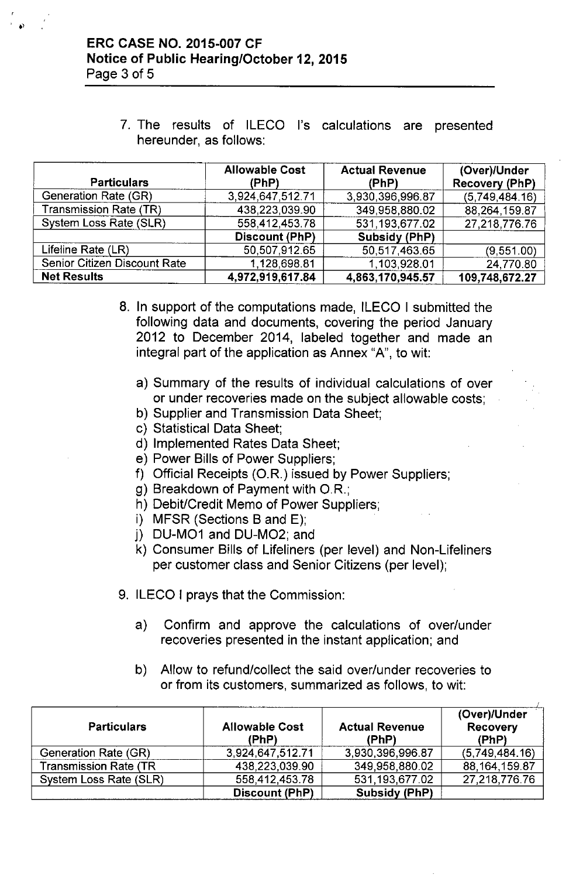7. The results of ILECO I's calculations are presented hereunder, as follows:

| <b>Particulars</b>           | <b>Allowable Cost</b><br>(PhP) | <b>Actual Revenue</b><br>(PhP) | (Over)/Under<br><b>Recovery (PhP)</b> |
|------------------------------|--------------------------------|--------------------------------|---------------------------------------|
| Generation Rate (GR)         | 3,924,647,512.71               | 3,930,396,996.87               | (5,749,484.16)                        |
| Transmission Rate (TR)       | 438,223,039.90                 | 349,958,880.02                 | 88,264,159.87                         |
| System Loss Rate (SLR)       | 558 412,453.78                 | 531,193,677.02                 | 27,218,776.76                         |
|                              | <b>Discount (PhP)</b>          | <b>Subsidy (PhP)</b>           |                                       |
| Lifeline Rate (LR)           | 50,507,912.65                  | 50,517,463.65                  | (9,551.00)                            |
| Senior Citizen Discount Rate | 1.128,698.81                   | 1,103,928.01                   | 24,770.80                             |
| <b>Net Results</b>           | 4,972,919,617.84               | 4,863,170,945.57               | 109,748,672.27                        |

- 8. In support of the computations made, ILECO I submitted the following data and documents, covering the period January 2012 to December 2014, labeled together and made an integral part of the application as Annex "A", to wit:
	- a) Summary of the results of individual calculations of over or under recoveries made on the subject allowable costs;
	- b) Supplier and Transmission Data Sheet;
	- c) Statistical Data Sheet;
	- d) Implemented Rates Data Sheet;
	- e) Power Bills of Power Suppliers;
	- f) Official Receipts (O.R.) issued by Power Suppliers;
	- g) Breakdown of Payment with *OR.;*
	- h) Debit/Credit Memo of Power Suppliers;
	- i) MFSR (Sections B and E);
	- j) DU-M01 and DU-M02; and
	- k) Consumer Bills of Lifeliners (per level) and Non-Lifeliners per customer class and Senior Citizens (per level);
- 9. ILECO I prays that the Commission:
	- a) Confirm and approve the calculations of over/under recoveries presented in the instant application; and
	- b) Allow to refund/collect the said over/under recoveries to or from its customers, summarized as follows, to wit:

| <b>Particulars</b>            | <b>Allowable Cost</b><br>(PhP) | <b>Actual Revenue</b><br>(PhP) | (Over)/Under<br>Recovery<br>(PhP) |
|-------------------------------|--------------------------------|--------------------------------|-----------------------------------|
| Generation Rate (GR)          | 3,924,647,512.71               | 3,930,396,996.87               | (5,749,484.16)                    |
| <b>Transmission Rate (TR)</b> | 438,223,039.90                 | 349,958,880.02                 | 88, 164, 159.87                   |
| System Loss Rate (SLR)        | 558,412,453.78                 | 531,193,677.02                 | 27,218,776.76                     |
|                               | Discount (PhP)                 | <b>Subsidy (PhP)</b>           |                                   |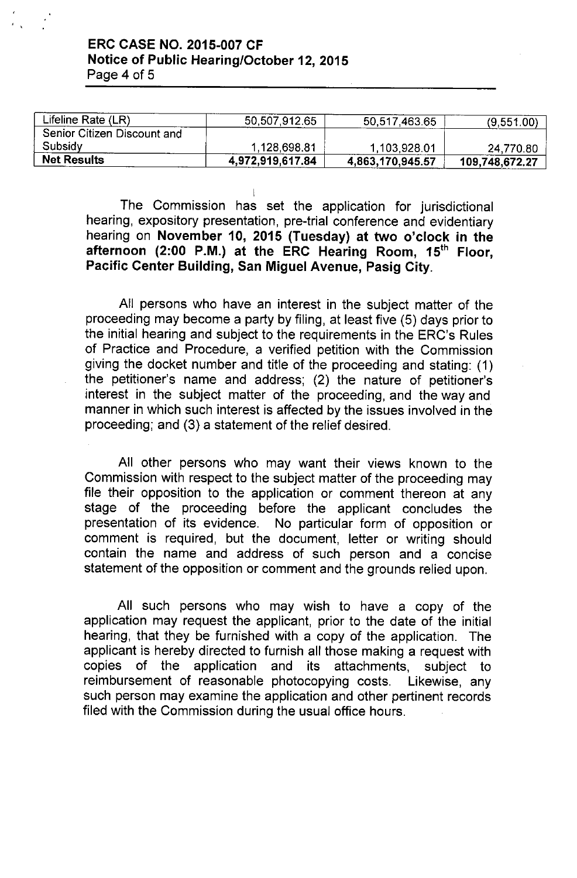| <b>Net Results</b>          | 4,972,919,617.84 | 4,863,170,945.57 | 109,748,672.27 |
|-----------------------------|------------------|------------------|----------------|
| Subsidy                     | 1.128,698.81     | 1,103,928.01     | 24,770.80      |
| Senior Citizen Discount and |                  |                  |                |
| Lifeline Rate (LR)          | 50,507,912.65    | 50,517,463.65    | (9,551.00)     |

I The Commission has set the application for jurisdictional hearing, expository presentation, pre-trial conference and evidentiary hearing on November 10, 2015 (Tuesday) at two o'clock in the afternoon (2:00 P.M.) at the ERC Hearing Room,  $15<sup>th</sup>$  Floor, Pacific Center Building, San Miguel Avenue, Pasig City.

All persons who have an interest in the subject matter of the proceeding may become a party by filing, at least five (5) days prior to the initial hearing and subject to the requirements in the ERC's Rules of Practice and Procedure, a verified petition with the Commission giving the docket number and title of the proceeding and stating: (1) the petitioner's name and address; (2) the nature of petitioner's interest in the subject matter of the proceeding, and the way and manner in which such interest is affected by the issues involved in the proceeding; and (3) a statement of the relief desired.

All other persons who may want their views known to the Commission with respect to the subject matter of the proceeding may file their opposition to the application or comment thereon at any stage of the proceeding before the applicant concludes the presentation of its evidence. No particular form of opposition or comment is required, but the document, letter or writing should contain the name and address of such person and a concise statement of the opposition or comment and the grounds relied upon.

All such persons who may wish to have a copy of the application may request the applicant, prior to the date of the initial hearing, that they be furnished with a copy of the application. The applicant is hereby directed to furnish all those making a request with copies of the application and its attachments, subject to reimbursement of reasonable photocopying costs. Likewise, any such person may examine the application and other pertinent records filed with the Commission during the usual office hours.